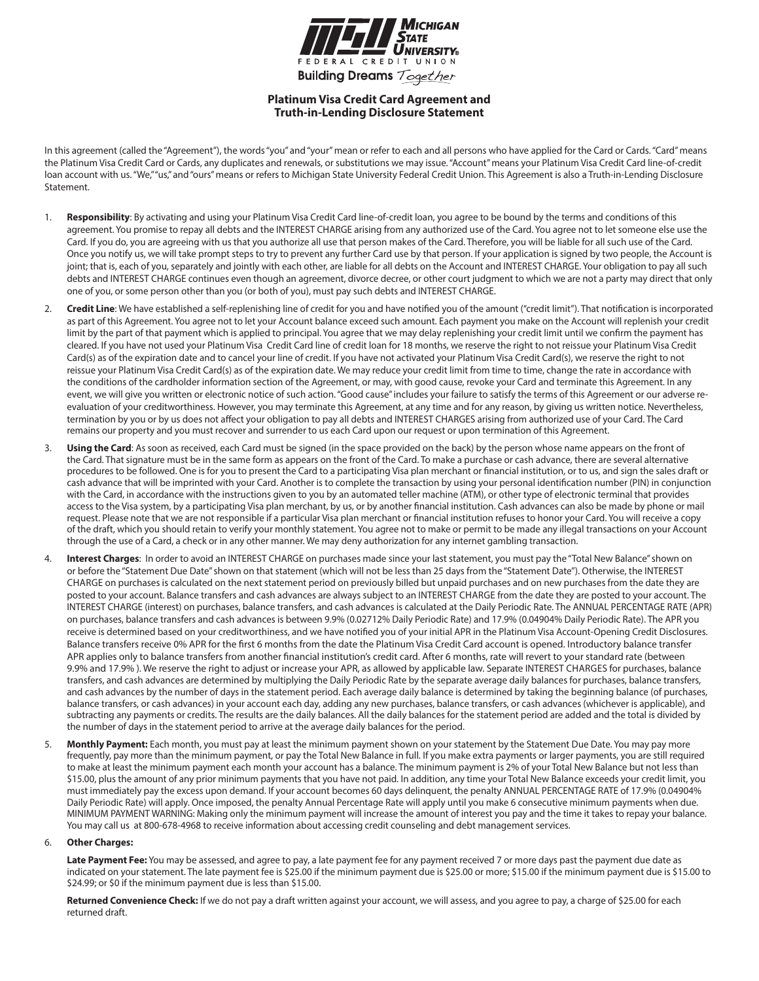

# **Platinum Visa Credit Card Agreement and Truth-in-Lending Disclosure Statement**

In this agreement (called the "Agreement"), the words "you" and "your" mean or refer to each and all persons who have applied for the Card or Cards. "Card" means the Platinum Visa Credit Card or Cards, any duplicates and renewals, or substitutions we may issue. "Account" means your Platinum Visa Credit Card line-of-credit loan account with us. "We,""us," and "ours" means or refers to Michigan State University Federal Credit Union. This Agreement is also a Truth-in-Lending Disclosure Statement.

- 1. **Responsibility**: By activating and using your Platinum Visa Credit Card line-of-credit loan, you agree to be bound by the terms and conditions of this agreement. You promise to repay all debts and the INTEREST CHARGE arising from any authorized use of the Card. You agree not to let someone else use the Card. If you do, you are agreeing with us that you authorize all use that person makes of the Card. Therefore, you will be liable for all such use of the Card. Once you notify us, we will take prompt steps to try to prevent any further Card use by that person. If your application is signed by two people, the Account is joint; that is, each of you, separately and jointly with each other, are liable for all debts on the Account and INTEREST CHARGE. Your obligation to pay all such debts and INTEREST CHARGE continues even though an agreement, divorce decree, or other court judgment to which we are not a party may direct that only one of you, or some person other than you (or both of you), must pay such debts and INTEREST CHARGE.
- 2. **Credit Line**: We have established a self-replenishing line of credit for you and have notified you of the amount ("credit limit"). That notification is incorporated as part of this Agreement. You agree not to let your Account balance exceed such amount. Each payment you make on the Account will replenish your credit limit by the part of that payment which is applied to principal. You agree that we may delay replenishing your credit limit until we confirm the payment has cleared. If you have not used your Platinum Visa Credit Card line of credit loan for 18 months, we reserve the right to not reissue your Platinum Visa Credit Card(s) as of the expiration date and to cancel your line of credit. If you have not activated your Platinum Visa Credit Card(s), we reserve the right to not reissue your Platinum Visa Credit Card(s) as of the expiration date. We may reduce your credit limit from time to time, change the rate in accordance with the conditions of the cardholder information section of the Agreement, or may, with good cause, revoke your Card and terminate this Agreement. In any event, we will give you written or electronic notice of such action. "Good cause" includes your failure to satisfy the terms of this Agreement or our adverse reevaluation of your creditworthiness. However, you may terminate this Agreement, at any time and for any reason, by giving us written notice. Nevertheless, termination by you or by us does not affect your obligation to pay all debts and INTEREST CHARGES arising from authorized use of your Card. The Card remains our property and you must recover and surrender to us each Card upon our request or upon termination of this Agreement.
- 3. **Using the Card**: As soon as received, each Card must be signed (in the space provided on the back) by the person whose name appears on the front of the Card. That signature must be in the same form as appears on the front of the Card. To make a purchase or cash advance, there are several alternative procedures to be followed. One is for you to present the Card to a participating Visa plan merchant or financial institution, or to us, and sign the sales draft or cash advance that will be imprinted with your Card. Another is to complete the transaction by using your personal identification number (PIN) in conjunction with the Card, in accordance with the instructions given to you by an automated teller machine (ATM), or other type of electronic terminal that provides access to the Visa system, by a participating Visa plan merchant, by us, or by another financial institution. Cash advances can also be made by phone or mail request. Please note that we are not responsible if a particular Visa plan merchant or financial institution refuses to honor your Card. You will receive a copy of the draft, which you should retain to verify your monthly statement. You agree not to make or permit to be made any illegal transactions on your Account through the use of a Card, a check or in any other manner. We may deny authorization for any internet gambling transaction.
- Interest Charges: In order to avoid an INTEREST CHARGE on purchases made since your last statement, you must pay the "Total New Balance" shown on or before the "Statement Due Date" shown on that statement (which will not be less than 25 days from the "Statement Date"). Otherwise, the INTEREST CHARGE on purchases is calculated on the next statement period on previously billed but unpaid purchases and on new purchases from the date they are posted to your account. Balance transfers and cash advances are always subject to an INTEREST CHARGE from the date they are posted to your account. The INTEREST CHARGE (interest) on purchases, balance transfers, and cash advances is calculated at the Daily Periodic Rate. The ANNUAL PERCENTAGE RATE (APR) on purchases, balance transfers and cash advances is between 9.9% (0.02712% Daily Periodic Rate) and 17.9% (0.04904% Daily Periodic Rate). The APR you receive is determined based on your creditworthiness, and we have notified you of your initial APR in the Platinum Visa Account-Opening Credit Disclosures. Balance transfers receive 0% APR for the first 6 months from the date the Platinum Visa Credit Card account is opened. Introductory balance transfer APR applies only to balance transfers from another financial institution's credit card. After 6 months, rate will revert to your standard rate (between 9.9% and 17.9% ). We reserve the right to adjust or increase your APR, as allowed by applicable law. Separate INTEREST CHARGES for purchases, balance transfers, and cash advances are determined by multiplying the Daily Periodic Rate by the separate average daily balances for purchases, balance transfers, and cash advances by the number of days in the statement period. Each average daily balance is determined by taking the beginning balance (of purchases, balance transfers, or cash advances) in your account each day, adding any new purchases, balance transfers, or cash advances (whichever is applicable), and subtracting any payments or credits. The results are the daily balances. All the daily balances for the statement period are added and the total is divided by the number of days in the statement period to arrive at the average daily balances for the period.
- 5. **Monthly Payment:** Each month, you must pay at least the minimum payment shown on your statement by the Statement Due Date. You may pay more frequently, pay more than the minimum payment, or pay the Total New Balance in full. If you make extra payments or larger payments, you are still required to make at least the minimum payment each month your account has a balance. The minimum payment is 2% of your Total New Balance but not less than \$15.00, plus the amount of any prior minimum payments that you have not paid. In addition, any time your Total New Balance exceeds your credit limit, you must immediately pay the excess upon demand. If your account becomes 60 days delinquent, the penalty ANNUAL PERCENTAGE RATE of 17.9% (0.04904% Daily Periodic Rate) will apply. Once imposed, the penalty Annual Percentage Rate will apply until you make 6 consecutive minimum payments when due. MINIMUM PAYMENT WARNING: Making only the minimum payment will increase the amount of interest you pay and the time it takes to repay your balance. You may call us at 800-678-4968 to receive information about accessing credit counseling and debt management services.

#### 6. **Other Charges:**

Late Payment Fee: You may be assessed, and agree to pay, a late payment fee for any payment received 7 or more days past the payment due date as indicated on your statement. The late payment fee is \$25.00 if the minimum payment due is \$25.00 or more; \$15.00 if the minimum payment due is \$15.00 to \$24.99; or \$0 if the minimum payment due is less than \$15.00.

Returned Convenience Check: If we do not pay a draft written against your account, we will assess, and you agree to pay, a charge of \$25.00 for each returned draft.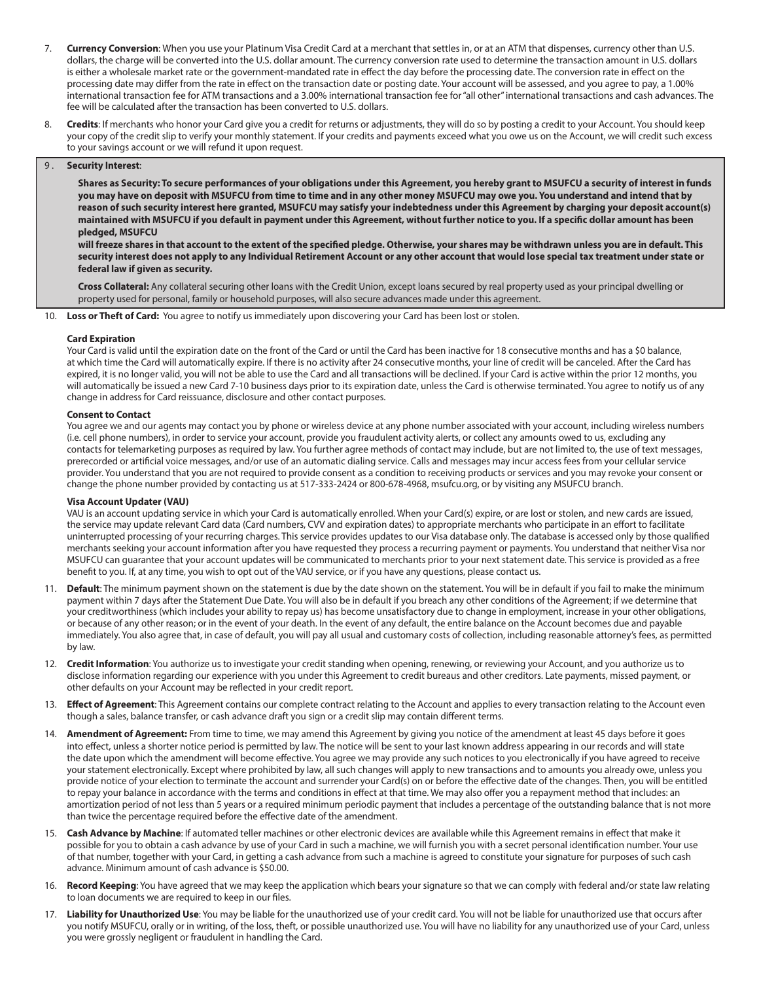- 7. **Currency Conversion**: When you use your Platinum Visa Credit Card at a merchant that settles in, or at an ATM that dispenses, currency other than U.S. dollars, the charge will be converted into the U.S. dollar amount. The currency conversion rate used to determine the transaction amount in U.S. dollars is either a wholesale market rate or the government-mandated rate in effect the day before the processing date. The conversion rate in effect on the processing date may differ from the rate in effect on the transaction date or posting date. Your account will be assessed, and you agree to pay, a 1.00% international transaction fee for ATM transactions and a 3.00% international transaction fee for "all other" international transactions and cash advances. The fee will be calculated after the transaction has been converted to U.S. dollars.
- 8. **Credits**: If merchants who honor your Card give you a credit for returns or adjustments, they will do so by posting a credit to your Account. You should keep your copy of the credit slip to verify your monthly statement. If your credits and payments exceed what you owe us on the Account, we will credit such excess to your savings account or we will refund it upon request.

#### 9 . **Security Interest**:

**Shares as Security: To secure performances of your obligations under this Agreement, you hereby grant to MSUFCU a security of interest in funds you may have on deposit with MSUFCU from time to time and in any other money MSUFCU may owe you. You understand and intend that by reason of such security interest here granted, MSUFCU may satisfy your indebtedness under this Agreement by charging your deposit account(s) maintained with MSUFCU if you default in payment under this Agreement, without further notice to you. If a specific dollar amount has been pledged, MSUFCU**

**will freeze shares in that account to the extent of the specified pledge. Otherwise, your shares may be withdrawn unless you are in default. This security interest does not apply to any Individual Retirement Account or any other account that would lose special tax treatment under state or federal law if given as security.**

**Cross Collateral:** Any collateral securing other loans with the Credit Union, except loans secured by real property used as your principal dwelling or property used for personal, family or household purposes, will also secure advances made under this agreement.

10. **Loss or Theft of Card:** You agree to notify us immediately upon discovering your Card has been lost or stolen.

#### **Card Expiration**

Your Card is valid until the expiration date on the front of the Card or until the Card has been inactive for 18 consecutive months and has a \$0 balance, at which time the Card will automatically expire. If there is no activity after 24 consecutive months, your line of credit will be canceled. After the Card has expired, it is no longer valid, you will not be able to use the Card and all transactions will be declined. If your Card is active within the prior 12 months, you will automatically be issued a new Card 7-10 business days prior to its expiration date, unless the Card is otherwise terminated. You agree to notify us of any change in address for Card reissuance, disclosure and other contact purposes.

#### **Consent to Contact**

You agree we and our agents may contact you by phone or wireless device at any phone number associated with your account, including wireless numbers (i.e. cell phone numbers), in order to service your account, provide you fraudulent activity alerts, or collect any amounts owed to us, excluding any contacts for telemarketing purposes as required by law. You further agree methods of contact may include, but are not limited to, the use of text messages, prerecorded or artificial voice messages, and/or use of an automatic dialing service. Calls and messages may incur access fees from your cellular service provider. You understand that you are not required to provide consent as a condition to receiving products or services and you may revoke your consent or change the phone number provided by contacting us at 517-333-2424 or 800-678-4968, msufcu.org, or by visiting any MSUFCU branch.

### **Visa Account Updater (VAU)**

VAU is an account updating service in which your Card is automatically enrolled. When your Card(s) expire, or are lost or stolen, and new cards are issued, the service may update relevant Card data (Card numbers, CVV and expiration dates) to appropriate merchants who participate in an effort to facilitate uninterrupted processing of your recurring charges. This service provides updates to our Visa database only. The database is accessed only by those qualified merchants seeking your account information after you have requested they process a recurring payment or payments. You understand that neither Visa nor MSUFCU can guarantee that your account updates will be communicated to merchants prior to your next statement date. This service is provided as a free benefit to you. If, at any time, you wish to opt out of the VAU service, or if you have any questions, please contact us.

- 11. **Default**: The minimum payment shown on the statement is due by the date shown on the statement. You will be in default if you fail to make the minimum payment within 7 days after the Statement Due Date. You will also be in default if you breach any other conditions of the Agreement; if we determine that your creditworthiness (which includes your ability to repay us) has become unsatisfactory due to change in employment, increase in your other obligations, or because of any other reason; or in the event of your death. In the event of any default, the entire balance on the Account becomes due and payable immediately. You also agree that, in case of default, you will pay all usual and customary costs of collection, including reasonable attorney's fees, as permitted by law.
- 12. **Credit Information**: You authorize us to investigate your credit standing when opening, renewing, or reviewing your Account, and you authorize us to disclose information regarding our experience with you under this Agreement to credit bureaus and other creditors. Late payments, missed payment, or other defaults on your Account may be reflected in your credit report.
- 13. **Effect of Agreement**: This Agreement contains our complete contract relating to the Account and applies to every transaction relating to the Account even though a sales, balance transfer, or cash advance draft you sign or a credit slip may contain different terms.
- 14. **Amendment of Agreement:** From time to time, we may amend this Agreement by giving you notice of the amendment at least 45 days before it goes into effect, unless a shorter notice period is permitted by law. The notice will be sent to your last known address appearing in our records and will state the date upon which the amendment will become effective. You agree we may provide any such notices to you electronically if you have agreed to receive your statement electronically. Except where prohibited by law, all such changes will apply to new transactions and to amounts you already owe, unless you provide notice of your election to terminate the account and surrender your Card(s) on or before the effective date of the changes. Then, you will be entitled to repay your balance in accordance with the terms and conditions in effect at that time. We may also offer you a repayment method that includes: an amortization period of not less than 5 years or a required minimum periodic payment that includes a percentage of the outstanding balance that is not more than twice the percentage required before the effective date of the amendment.
- 15. **Cash Advance by Machine**: If automated teller machines or other electronic devices are available while this Agreement remains in effect that make it possible for you to obtain a cash advance by use of your Card in such a machine, we will furnish you with a secret personal identification number. Your use of that number, together with your Card, in getting a cash advance from such a machine is agreed to constitute your signature for purposes of such cash advance. Minimum amount of cash advance is \$50.00.
- 16. **Record Keeping**: You have agreed that we may keep the application which bears your signature so that we can comply with federal and/or state law relating to loan documents we are required to keep in our files.
- 17. **Liability for Unauthorized Use**: You may be liable for the unauthorized use of your credit card. You will not be liable for unauthorized use that occurs after you notify MSUFCU, orally or in writing, of the loss, theft, or possible unauthorized use. You will have no liability for any unauthorized use of your Card, unless you were grossly negligent or fraudulent in handling the Card.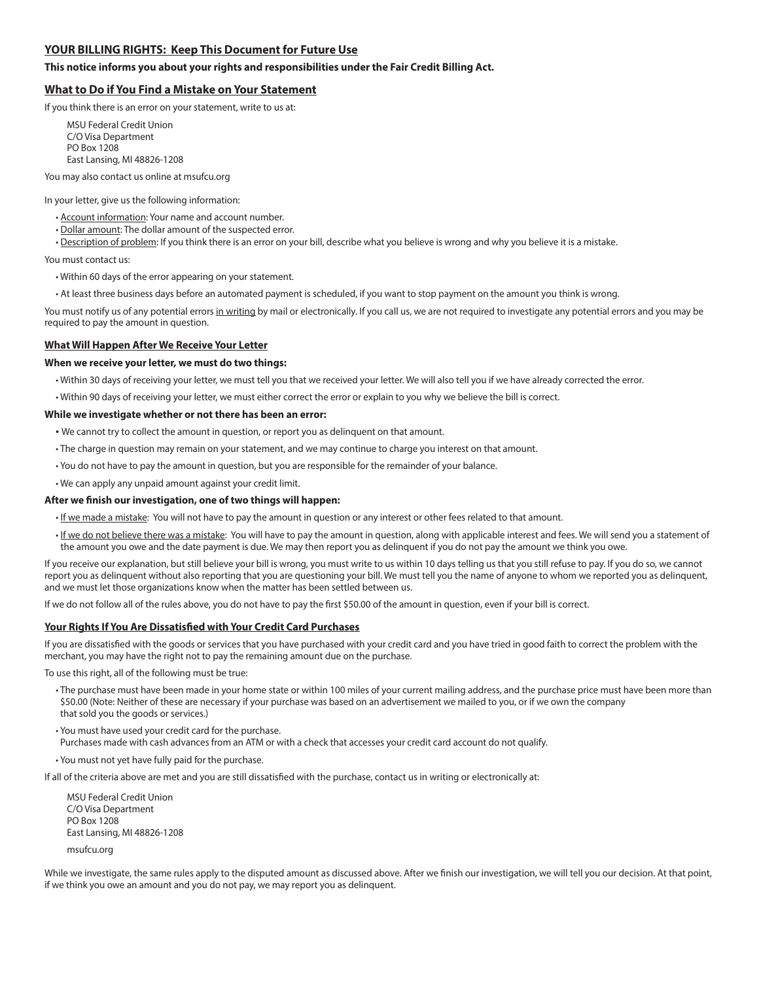# **YOUR BILLING RIGHTS: Keep This Document for Future Use**

# **This notice informs you about your rights and responsibilities under the Fair Credit Billing Act.**

# **What to Do if You Find a Mistake on Your Statement**

If you think there is an error on your statement, write to us at:

MSU Federal Credit Union C/O Visa Department PO Box 1208 East Lansing, MI 48826-1208

You may also contact us online at msufcu.org

In your letter, give us the following information:

- Account information: Your name and account number.
- Dollar amount: The dollar amount of the suspected error.

• Description of problem: If you think there is an error on your bill, describe what you believe is wrong and why you believe it is a mistake.

You must contact us:

- Within 60 days of the error appearing on your statement.
- At least three business days before an automated payment is scheduled, if you want to stop payment on the amount you think is wrong.

You must notify us of any potential errors in writing by mail or electronically. If you call us, we are not required to investigate any potential errors and you may be required to pay the amount in question.

# **What Will Happen After We Receive Your Letter**

### **When we receive your letter, we must do two things:**

- Within 30 days of receiving your letter, we must tell you that we received your letter. We will also tell you if we have already corrected the error.
- Within 90 days of receiving your letter, we must either correct the error or explain to you why we believe the bill is correct.

#### **While we investigate whether or not there has been an error:**

- We cannot try to collect the amount in question, or report you as delinquent on that amount.
- The charge in question may remain on your statement, and we may continue to charge you interest on that amount.
- You do not have to pay the amount in question, but you are responsible for the remainder of your balance.
- We can apply any unpaid amount against your credit limit.

### **After we finish our investigation, one of two things will happen:**

- If we made a mistake: You will not have to pay the amount in question or any interest or other fees related to that amount.
- If we do not believe there was a mistake: You will have to pay the amount in question, along with applicable interest and fees. We will send you a statement of the amount you owe and the date payment is due. We may then report you as delinquent if you do not pay the amount we think you owe.

If you receive our explanation, but still believe your bill is wrong, you must write to us within 10 days telling us that you still refuse to pay. If you do so, we cannot report you as delinquent without also reporting that you are questioning your bill. We must tell you the name of anyone to whom we reported you as delinquent, and we must let those organizations know when the matter has been settled between us.

If we do not follow all of the rules above, you do not have to pay the first \$50.00 of the amount in question, even if your bill is correct.

### **Your Rights If You Are Dissatisfied with Your Credit Card Purchases**

If you are dissatisfied with the goods or services that you have purchased with your credit card and you have tried in good faith to correct the problem with the merchant, you may have the right not to pay the remaining amount due on the purchase.

To use this right, all of the following must be true:

- The purchase must have been made in your home state or within 100 miles of your current mailing address, and the purchase price must have been more than \$50.00 (Note: Neither of these are necessary if your purchase was based on an advertisement we mailed to you, or if we own the company that sold you the goods or services.)
- You must have used your credit card for the purchase.
- Purchases made with cash advances from an ATM or with a check that accesses your credit card account do not qualify.
- You must not yet have fully paid for the purchase.

If all of the criteria above are met and you are still dissatisfied with the purchase, contact us in writing or electronically at:

MSU Federal Credit Union C/O Visa Department PO Box 1208 East Lansing, MI 48826-1208 msufcu.org

While we investigate, the same rules apply to the disputed amount as discussed above. After we finish our investigation, we will tell you our decision. At that point, if we think you owe an amount and you do not pay, we may report you as delinquent.